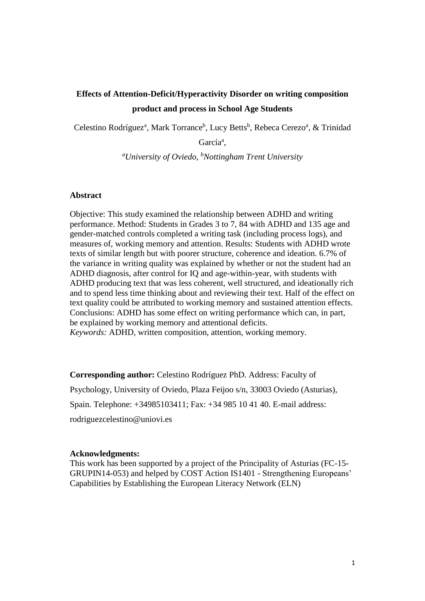## **Effects of Attention-Deficit/Hyperactivity Disorder on writing composition product and process in School Age Students**

Celestino Rodríguez<sup>a</sup>, Mark Torrance<sup>b</sup>, Lucy Betts<sup>b</sup>, Rebeca Cerezo<sup>a</sup>, & Trinidad

García<sup>a</sup>,

*<sup>a</sup>University of Oviedo, <sup>b</sup>Nottingham Trent University*

## **Abstract**

Objective: This study examined the relationship between ADHD and writing performance. Method: Students in Grades 3 to 7, 84 with ADHD and 135 age and gender-matched controls completed a writing task (including process logs), and measures of, working memory and attention. Results: Students with ADHD wrote texts of similar length but with poorer structure, coherence and ideation. 6.7% of the variance in writing quality was explained by whether or not the student had an ADHD diagnosis, after control for IQ and age-within-year, with students with ADHD producing text that was less coherent, well structured, and ideationally rich and to spend less time thinking about and reviewing their text. Half of the effect on text quality could be attributed to working memory and sustained attention effects. Conclusions: ADHD has some effect on writing performance which can, in part, be explained by working memory and attentional deficits. *Keywords:* ADHD, written composition, attention, working memory.

**Corresponding author:** Celestino Rodríguez PhD. Address: Faculty of

Psychology, University of Oviedo, Plaza Feijoo s/n, 33003 Oviedo (Asturias), Spain. Telephone: +34985103411; Fax: +34 985 10 41 40. E-mail address: rodriguezcelestino@uniovi.es

#### **Acknowledgments:**

This work has been supported by a project of the Principality of Asturias (FC-15- GRUPIN14-053) and helped by COST Action IS1401 - Strengthening Europeans' Capabilities by Establishing the European Literacy Network (ELN)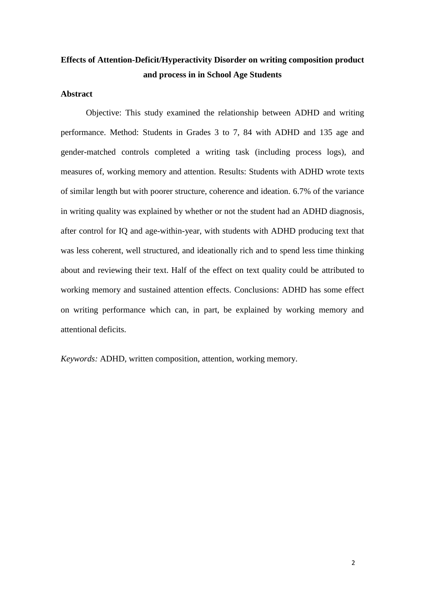# **Effects of Attention-Deficit/Hyperactivity Disorder on writing composition product and process in in School Age Students**

## **Abstract**

Objective: This study examined the relationship between ADHD and writing performance. Method: Students in Grades 3 to 7, 84 with ADHD and 135 age and gender-matched controls completed a writing task (including process logs), and measures of, working memory and attention. Results: Students with ADHD wrote texts of similar length but with poorer structure, coherence and ideation. 6.7% of the variance in writing quality was explained by whether or not the student had an ADHD diagnosis, after control for IQ and age-within-year, with students with ADHD producing text that was less coherent, well structured, and ideationally rich and to spend less time thinking about and reviewing their text. Half of the effect on text quality could be attributed to working memory and sustained attention effects. Conclusions: ADHD has some effect on writing performance which can, in part, be explained by working memory and attentional deficits.

*Keywords:* ADHD, written composition, attention, working memory.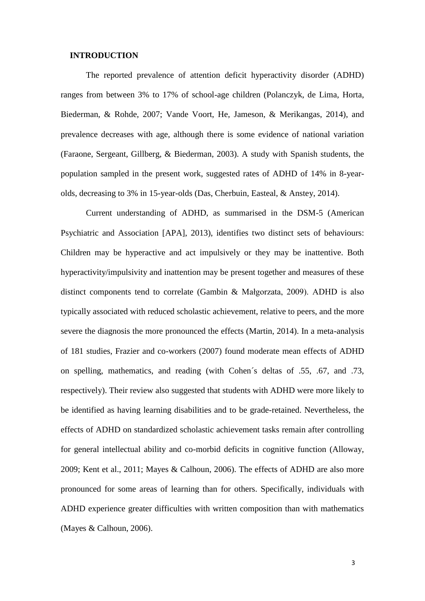## **INTRODUCTION**

The reported prevalence of attention deficit hyperactivity disorder (ADHD) ranges from between 3% to 17% of school-age children (Polanczyk, de Lima, Horta, Biederman, & Rohde, 2007; Vande Voort, He, Jameson, & Merikangas, 2014), and prevalence decreases with age, although there is some evidence of national variation (Faraone, Sergeant, Gillberg, & Biederman, 2003). A study with Spanish students, the population sampled in the present work, suggested rates of ADHD of 14% in 8-yearolds, decreasing to 3% in 15-year-olds (Das, Cherbuin, Easteal, & Anstey, 2014).

Current understanding of ADHD, as summarised in the DSM-5 (American Psychiatric and Association [APA], 2013), identifies two distinct sets of behaviours: Children may be hyperactive and act impulsively or they may be inattentive. Both hyperactivity/impulsivity and inattention may be present together and measures of these distinct components tend to correlate (Gambin & Małgorzata, 2009). ADHD is also typically associated with reduced scholastic achievement, relative to peers, and the more severe the diagnosis the more pronounced the effects (Martin, 2014). In a meta-analysis of 181 studies, Frazier and co-workers (2007) found moderate mean effects of ADHD on spelling, mathematics, and reading (with Cohen´s deltas of .55, .67, and .73, respectively). Their review also suggested that students with ADHD were more likely to be identified as having learning disabilities and to be grade-retained. Nevertheless, the effects of ADHD on standardized scholastic achievement tasks remain after controlling for general intellectual ability and co-morbid deficits in cognitive function (Alloway, 2009; Kent et al., 2011; Mayes & Calhoun, 2006). The effects of ADHD are also more pronounced for some areas of learning than for others. Specifically, individuals with ADHD experience greater difficulties with written composition than with mathematics (Mayes & Calhoun, 2006).

3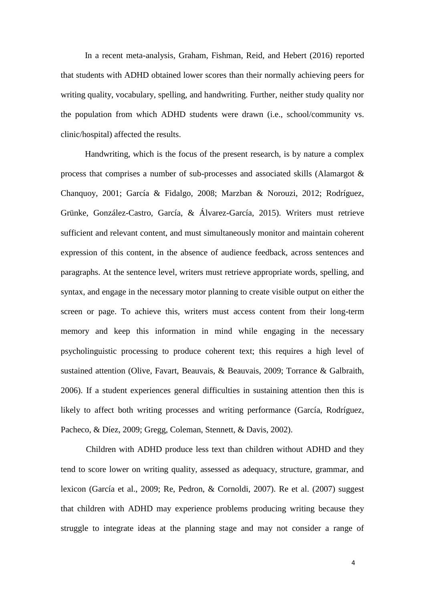In a recent meta-analysis, Graham, Fishman, Reid, and Hebert (2016) reported that students with ADHD obtained lower scores than their normally achieving peers for writing quality, vocabulary, spelling, and handwriting. Further, neither study quality nor the population from which ADHD students were drawn (i.e., school/community vs. clinic/hospital) affected the results.

Handwriting, which is the focus of the present research, is by nature a complex process that comprises a number of sub-processes and associated skills (Alamargot & Chanquoy, 2001; García & Fidalgo, 2008; Marzban & Norouzi, 2012; Rodríguez, Grünke, González-Castro, García, & Álvarez-García, 2015). Writers must retrieve sufficient and relevant content, and must simultaneously monitor and maintain coherent expression of this content, in the absence of audience feedback, across sentences and paragraphs. At the sentence level, writers must retrieve appropriate words, spelling, and syntax, and engage in the necessary motor planning to create visible output on either the screen or page. To achieve this, writers must access content from their long-term memory and keep this information in mind while engaging in the necessary psycholinguistic processing to produce coherent text; this requires a high level of sustained attention (Olive, Favart, Beauvais, & Beauvais, 2009; Torrance & Galbraith, 2006). If a student experiences general difficulties in sustaining attention then this is likely to affect both writing processes and writing performance (García, Rodríguez, Pacheco, & Díez, 2009; Gregg, Coleman, Stennett, & Davis, 2002).

Children with ADHD produce less text than children without ADHD and they tend to score lower on writing quality, assessed as adequacy, structure, grammar, and lexicon (García et al., 2009; Re, Pedron, & Cornoldi, 2007). Re et al. (2007) suggest that children with ADHD may experience problems producing writing because they struggle to integrate ideas at the planning stage and may not consider a range of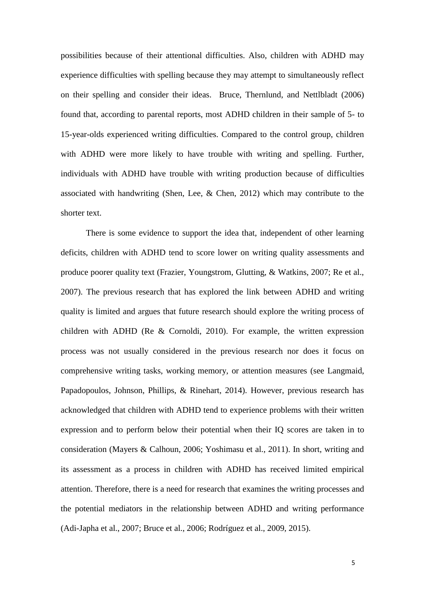possibilities because of their attentional difficulties. Also, children with ADHD may experience difficulties with spelling because they may attempt to simultaneously reflect on their spelling and consider their ideas. Bruce, Thernlund, and Nettlbladt (2006) found that, according to parental reports, most ADHD children in their sample of 5- to 15-year-olds experienced writing difficulties. Compared to the control group, children with ADHD were more likely to have trouble with writing and spelling. Further, individuals with ADHD have trouble with writing production because of difficulties associated with handwriting (Shen, Lee,  $\&$  Chen, 2012) which may contribute to the shorter text.

There is some evidence to support the idea that, independent of other learning deficits, children with ADHD tend to score lower on writing quality assessments and produce poorer quality text (Frazier, Youngstrom, Glutting, & Watkins, 2007; Re et al., 2007). The previous research that has explored the link between ADHD and writing quality is limited and argues that future research should explore the writing process of children with ADHD (Re & Cornoldi, 2010). For example, the written expression process was not usually considered in the previous research nor does it focus on comprehensive writing tasks, working memory, or attention measures (see Langmaid, Papadopoulos, Johnson, Phillips, & Rinehart, 2014). However, previous research has acknowledged that children with ADHD tend to experience problems with their written expression and to perform below their potential when their IQ scores are taken in to consideration (Mayers & Calhoun, 2006; Yoshimasu et al., 2011). In short, writing and its assessment as a process in children with ADHD has received limited empirical attention. Therefore, there is a need for research that examines the writing processes and the potential mediators in the relationship between ADHD and writing performance (Adi-Japha et al., 2007; Bruce et al., 2006; Rodríguez et al., 2009, 2015).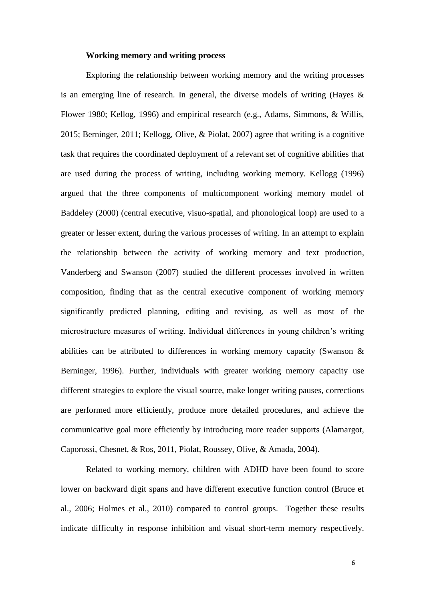## **Working memory and writing process**

Exploring the relationship between working memory and the writing processes is an emerging line of research. In general, the diverse models of writing (Hayes & Flower 1980; Kellog, 1996) and empirical research (e.g., Adams, Simmons, & Willis, 2015; Berninger, 2011; Kellogg, Olive, & Piolat, 2007) agree that writing is a cognitive task that requires the coordinated deployment of a relevant set of cognitive abilities that are used during the process of writing, including working memory. Kellogg (1996) argued that the three components of multicomponent working memory model of Baddeley (2000) (central executive, visuo-spatial, and phonological loop) are used to a greater or lesser extent, during the various processes of writing. In an attempt to explain the relationship between the activity of working memory and text production, Vanderberg and Swanson (2007) studied the different processes involved in written composition, finding that as the central executive component of working memory significantly predicted planning, editing and revising, as well as most of the microstructure measures of writing. Individual differences in young children's writing abilities can be attributed to differences in working memory capacity (Swanson & Berninger, 1996). Further, individuals with greater working memory capacity use different strategies to explore the visual source, make longer writing pauses, corrections are performed more efficiently, produce more detailed procedures, and achieve the communicative goal more efficiently by introducing more reader supports (Alamargot, Caporossi, Chesnet, & Ros, 2011, Piolat, Roussey, Olive, & Amada, 2004).

Related to working memory, children with ADHD have been found to score lower on backward digit spans and have different executive function control (Bruce et al., 2006; Holmes et al., 2010) compared to control groups. Together these results indicate difficulty in response inhibition and visual short-term memory respectively.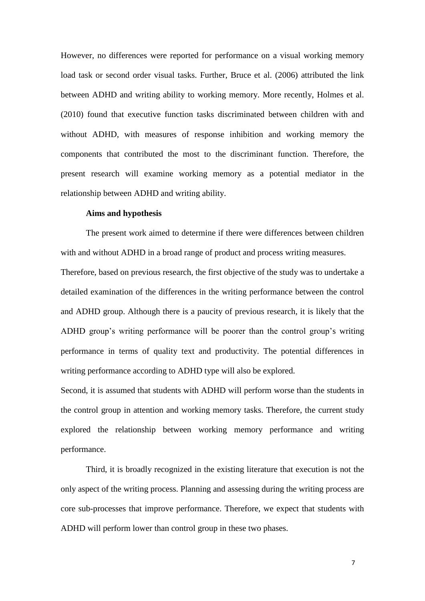However, no differences were reported for performance on a visual working memory load task or second order visual tasks. Further, Bruce et al. (2006) attributed the link between ADHD and writing ability to working memory. More recently, Holmes et al. (2010) found that executive function tasks discriminated between children with and without ADHD, with measures of response inhibition and working memory the components that contributed the most to the discriminant function. Therefore, the present research will examine working memory as a potential mediator in the relationship between ADHD and writing ability.

## **Aims and hypothesis**

The present work aimed to determine if there were differences between children with and without ADHD in a broad range of product and process writing measures.

Therefore, based on previous research, the first objective of the study was to undertake a detailed examination of the differences in the writing performance between the control and ADHD group. Although there is a paucity of previous research, it is likely that the ADHD group's writing performance will be poorer than the control group's writing performance in terms of quality text and productivity. The potential differences in writing performance according to ADHD type will also be explored.

Second, it is assumed that students with ADHD will perform worse than the students in the control group in attention and working memory tasks. Therefore, the current study explored the relationship between working memory performance and writing performance.

Third, it is broadly recognized in the existing literature that execution is not the only aspect of the writing process. Planning and assessing during the writing process are core sub-processes that improve performance. Therefore, we expect that students with ADHD will perform lower than control group in these two phases.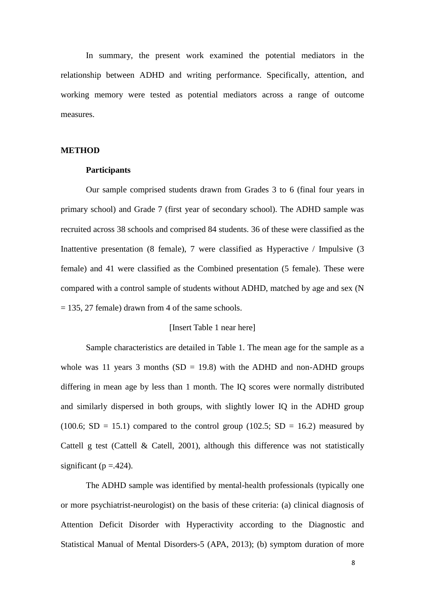In summary, the present work examined the potential mediators in the relationship between ADHD and writing performance. Specifically, attention, and working memory were tested as potential mediators across a range of outcome measures.

## **METHOD**

## **Participants**

Our sample comprised students drawn from Grades 3 to 6 (final four years in primary school) and Grade 7 (first year of secondary school). The ADHD sample was recruited across 38 schools and comprised 84 students. 36 of these were classified as the Inattentive presentation (8 female), 7 were classified as Hyperactive / Impulsive (3 female) and 41 were classified as the Combined presentation (5 female). These were compared with a control sample of students without ADHD, matched by age and sex (N  $= 135, 27$  female) drawn from 4 of the same schools.

## [Insert Table 1 near here]

Sample characteristics are detailed in Table 1. The mean age for the sample as a whole was 11 years 3 months  $(SD = 19.8)$  with the ADHD and non-ADHD groups differing in mean age by less than 1 month. The IQ scores were normally distributed and similarly dispersed in both groups, with slightly lower IQ in the ADHD group (100.6; SD = 15.1) compared to the control group (102.5; SD = 16.2) measured by Cattell g test (Cattell & Catell, 2001), although this difference was not statistically significant ( $p = .424$ ).

The ADHD sample was identified by mental-health professionals (typically one or more psychiatrist-neurologist) on the basis of these criteria: (a) clinical diagnosis of Attention Deficit Disorder with Hyperactivity according to the Diagnostic and Statistical Manual of Mental Disorders-5 (APA, 2013); (b) symptom duration of more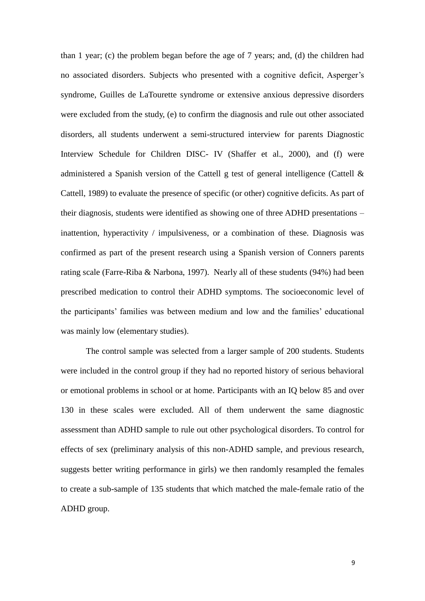than 1 year; (c) the problem began before the age of 7 years; and, (d) the children had no associated disorders. Subjects who presented with a cognitive deficit, Asperger's syndrome, Guilles de LaTourette syndrome or extensive anxious depressive disorders were excluded from the study, (e) to confirm the diagnosis and rule out other associated disorders, all students underwent a semi-structured interview for parents Diagnostic Interview Schedule for Children DISC- IV (Shaffer et al., 2000), and (f) were administered a Spanish version of the Cattell g test of general intelligence (Cattell  $\&$ Cattell, 1989) to evaluate the presence of specific (or other) cognitive deficits. As part of their diagnosis, students were identified as showing one of three ADHD presentations – inattention, hyperactivity / impulsiveness, or a combination of these. Diagnosis was confirmed as part of the present research using a Spanish version of Conners parents rating scale (Farre-Riba & Narbona, 1997). Nearly all of these students (94%) had been prescribed medication to control their ADHD symptoms. The socioeconomic level of the participants' families was between medium and low and the families' educational was mainly low (elementary studies).

The control sample was selected from a larger sample of 200 students. Students were included in the control group if they had no reported history of serious behavioral or emotional problems in school or at home. Participants with an IQ below 85 and over 130 in these scales were excluded. All of them underwent the same diagnostic assessment than ADHD sample to rule out other psychological disorders. To control for effects of sex (preliminary analysis of this non-ADHD sample, and previous research, suggests better writing performance in girls) we then randomly resampled the females to create a sub-sample of 135 students that which matched the male-female ratio of the ADHD group.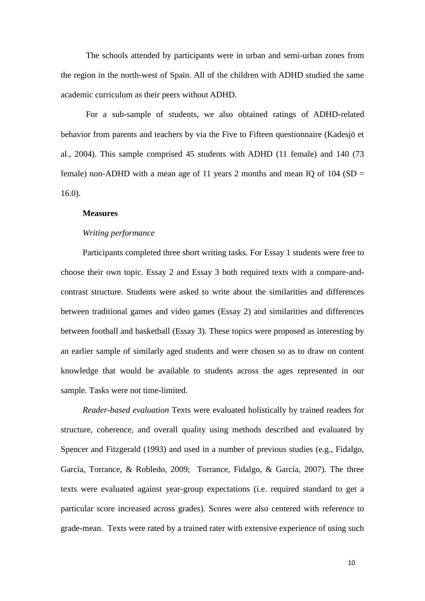The schools attended by participants were in urban and semi-urban zones from the region in the north-west of Spain. All of the children with ADHD studied the same academic curriculum as their peers without ADHD.

For a sub-sample of students, we also obtained ratings of ADHD-related behavior from parents and teachers by via the Five to Fifteen questionnaire (Kadesjö et al., 2004). This sample comprised 45 students with ADHD (11 female) and 140 (73 female) non-ADHD with a mean age of 11 years 2 months and mean IQ of 104 (SD  $=$ 16.0).

#### **Measures**

#### *Writing performance*

Participants completed three short writing tasks. For Essay 1 students were free to choose their own topic. Essay 2 and Essay 3 both required texts with a compare-andcontrast structure. Students were asked to write about the similarities and differences between traditional games and video games (Essay 2) and similarities and differences between football and basketball (Essay 3). These topics were proposed as interesting by an earlier sample of similarly aged students and were chosen so as to draw on content knowledge that would be available to students across the ages represented in our sample. Tasks were not time-limited.

*Reader-based evaluation* Texts were evaluated holistically by trained readers for structure, coherence, and overall quality using methods described and evaluated by Spencer and Fitzgerald (1993) and used in a number of previous studies (e.g., Fidalgo, García, Torrance, & Robledo, 2009; Torrance, Fidalgo, & García, 2007). The three texts were evaluated against year-group expectations (i.e. required standard to get a particular score increased across grades). Scores were also centered with reference to grade-mean. Texts were rated by a trained rater with extensive experience of using such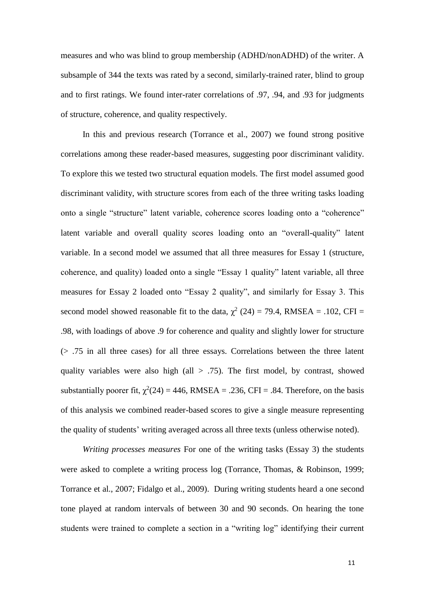measures and who was blind to group membership (ADHD/nonADHD) of the writer. A subsample of 344 the texts was rated by a second, similarly-trained rater, blind to group and to first ratings. We found inter-rater correlations of .97, .94, and .93 for judgments of structure, coherence, and quality respectively.

In this and previous research (Torrance et al., 2007) we found strong positive correlations among these reader-based measures, suggesting poor discriminant validity. To explore this we tested two structural equation models. The first model assumed good discriminant validity, with structure scores from each of the three writing tasks loading onto a single "structure" latent variable, coherence scores loading onto a "coherence" latent variable and overall quality scores loading onto an "overall-quality" latent variable. In a second model we assumed that all three measures for Essay 1 (structure, coherence, and quality) loaded onto a single "Essay 1 quality" latent variable, all three measures for Essay 2 loaded onto "Essay 2 quality", and similarly for Essay 3. This second model showed reasonable fit to the data,  $\chi^2$  (24) = 79.4, RMSEA = .102, CFI = .98, with loadings of above .9 for coherence and quality and slightly lower for structure (> .75 in all three cases) for all three essays. Correlations between the three latent quality variables were also high (all  $> .75$ ). The first model, by contrast, showed substantially poorer fit,  $\chi^2(24) = 446$ , RMSEA = .236, CFI = .84. Therefore, on the basis of this analysis we combined reader-based scores to give a single measure representing the quality of students' writing averaged across all three texts (unless otherwise noted).

*Writing processes measures* For one of the writing tasks (Essay 3) the students were asked to complete a writing process log (Torrance, Thomas, & Robinson, 1999; Torrance et al., 2007; Fidalgo et al., 2009). During writing students heard a one second tone played at random intervals of between 30 and 90 seconds. On hearing the tone students were trained to complete a section in a "writing log" identifying their current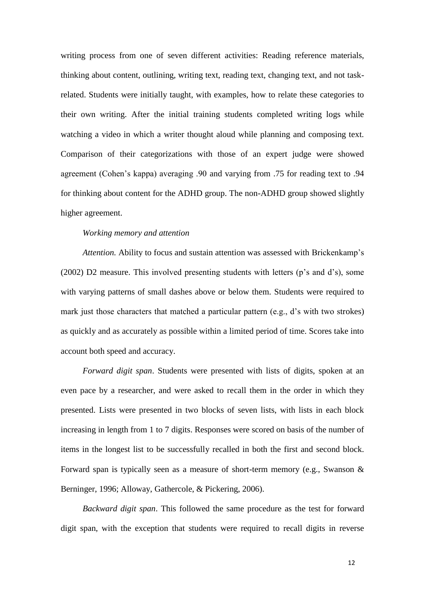writing process from one of seven different activities: Reading reference materials, thinking about content, outlining, writing text, reading text, changing text, and not taskrelated. Students were initially taught, with examples, how to relate these categories to their own writing. After the initial training students completed writing logs while watching a video in which a writer thought aloud while planning and composing text. Comparison of their categorizations with those of an expert judge were showed agreement (Cohen's kappa) averaging .90 and varying from .75 for reading text to .94 for thinking about content for the ADHD group. The non-ADHD group showed slightly higher agreement.

## *Working memory and attention*

*Attention.* Ability to focus and sustain attention was assessed with Brickenkamp's (2002) D2 measure. This involved presenting students with letters (p's and d's), some with varying patterns of small dashes above or below them. Students were required to mark just those characters that matched a particular pattern (e.g., d's with two strokes) as quickly and as accurately as possible within a limited period of time. Scores take into account both speed and accuracy.

*Forward digit span*. Students were presented with lists of digits, spoken at an even pace by a researcher, and were asked to recall them in the order in which they presented. Lists were presented in two blocks of seven lists, with lists in each block increasing in length from 1 to 7 digits. Responses were scored on basis of the number of items in the longest list to be successfully recalled in both the first and second block. Forward span is typically seen as a measure of short-term memory (e.g., Swanson & Berninger, 1996; Alloway, Gathercole, & Pickering, 2006).

*Backward digit span*. This followed the same procedure as the test for forward digit span, with the exception that students were required to recall digits in reverse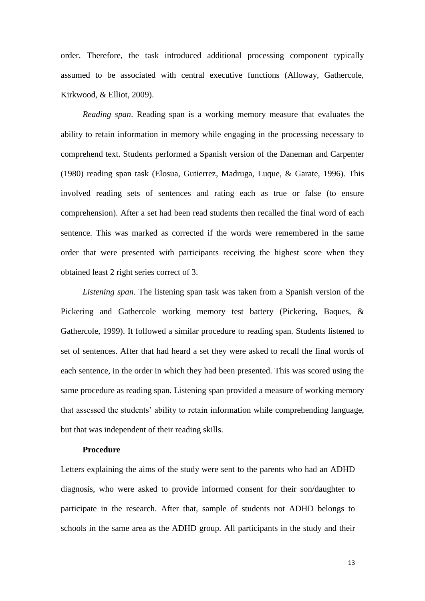order. Therefore, the task introduced additional processing component typically assumed to be associated with central executive functions (Alloway, Gathercole, Kirkwood, & Elliot, 2009).

*Reading span*. Reading span is a working memory measure that evaluates the ability to retain information in memory while engaging in the processing necessary to comprehend text. Students performed a Spanish version of the Daneman and Carpenter (1980) reading span task (Elosua, Gutierrez, Madruga, Luque, & Garate, 1996). This involved reading sets of sentences and rating each as true or false (to ensure comprehension). After a set had been read students then recalled the final word of each sentence. This was marked as corrected if the words were remembered in the same order that were presented with participants receiving the highest score when they obtained least 2 right series correct of 3.

*Listening span*. The listening span task was taken from a Spanish version of the Pickering and Gathercole working memory test battery (Pickering, Baques, & Gathercole, 1999). It followed a similar procedure to reading span. Students listened to set of sentences. After that had heard a set they were asked to recall the final words of each sentence, in the order in which they had been presented. This was scored using the same procedure as reading span. Listening span provided a measure of working memory that assessed the students' ability to retain information while comprehending language, but that was independent of their reading skills.

## **Procedure**

Letters explaining the aims of the study were sent to the parents who had an ADHD diagnosis, who were asked to provide informed consent for their son/daughter to participate in the research. After that, sample of students not ADHD belongs to schools in the same area as the ADHD group. All participants in the study and their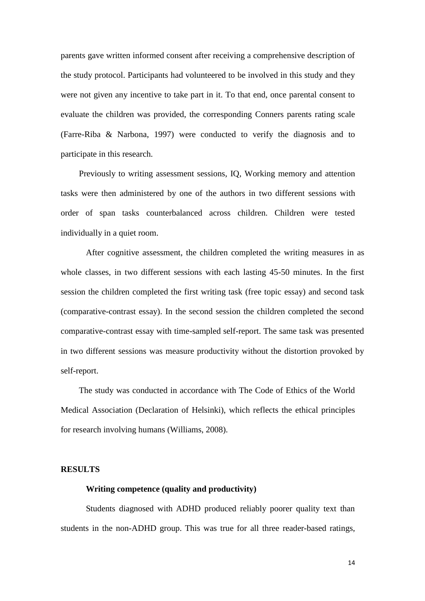parents gave written informed consent after receiving a comprehensive description of the study protocol. Participants had volunteered to be involved in this study and they were not given any incentive to take part in it. To that end, once parental consent to evaluate the children was provided, the corresponding Conners parents rating scale (Farre-Riba & Narbona, 1997) were conducted to verify the diagnosis and to participate in this research.

Previously to writing assessment sessions, IQ, Working memory and attention tasks were then administered by one of the authors in two different sessions with order of span tasks counterbalanced across children. Children were tested individually in a quiet room.

After cognitive assessment, the children completed the writing measures in as whole classes, in two different sessions with each lasting 45-50 minutes. In the first session the children completed the first writing task (free topic essay) and second task (comparative-contrast essay). In the second session the children completed the second comparative-contrast essay with time-sampled self-report. The same task was presented in two different sessions was measure productivity without the distortion provoked by self-report.

The study was conducted in accordance with The Code of Ethics of the World Medical Association (Declaration of Helsinki), which reflects the ethical principles for research involving humans (Williams, 2008).

#### **RESULTS**

## **Writing competence (quality and productivity)**

Students diagnosed with ADHD produced reliably poorer quality text than students in the non-ADHD group. This was true for all three reader-based ratings,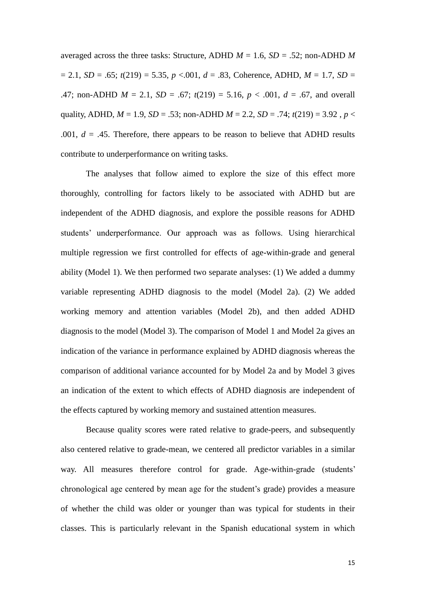averaged across the three tasks: Structure, ADHD  $M = 1.6$ ,  $SD = .52$ ; non-ADHD *M*  $= 2.1, SD = .65; t(219) = 5.35, p < .001, d = .83$ , Coherence, ADHD,  $M = 1.7$ ,  $SD =$ .47; non-ADHD  $M = 2.1$ ,  $SD = .67$ ;  $t(219) = 5.16$ ,  $p < .001$ ,  $d = .67$ , and overall quality, ADHD,  $M = 1.9$ ,  $SD = .53$ ; non-ADHD  $M = 2.2$ ,  $SD = .74$ ;  $t(219) = 3.92$ ,  $p <$ .001,  $d = .45$ . Therefore, there appears to be reason to believe that ADHD results contribute to underperformance on writing tasks.

The analyses that follow aimed to explore the size of this effect more thoroughly, controlling for factors likely to be associated with ADHD but are independent of the ADHD diagnosis, and explore the possible reasons for ADHD students' underperformance. Our approach was as follows. Using hierarchical multiple regression we first controlled for effects of age-within-grade and general ability (Model 1). We then performed two separate analyses: (1) We added a dummy variable representing ADHD diagnosis to the model (Model 2a). (2) We added working memory and attention variables (Model 2b), and then added ADHD diagnosis to the model (Model 3). The comparison of Model 1 and Model 2a gives an indication of the variance in performance explained by ADHD diagnosis whereas the comparison of additional variance accounted for by Model 2a and by Model 3 gives an indication of the extent to which effects of ADHD diagnosis are independent of the effects captured by working memory and sustained attention measures.

Because quality scores were rated relative to grade-peers, and subsequently also centered relative to grade-mean, we centered all predictor variables in a similar way. All measures therefore control for grade. Age-within-grade (students' chronological age centered by mean age for the student's grade) provides a measure of whether the child was older or younger than was typical for students in their classes. This is particularly relevant in the Spanish educational system in which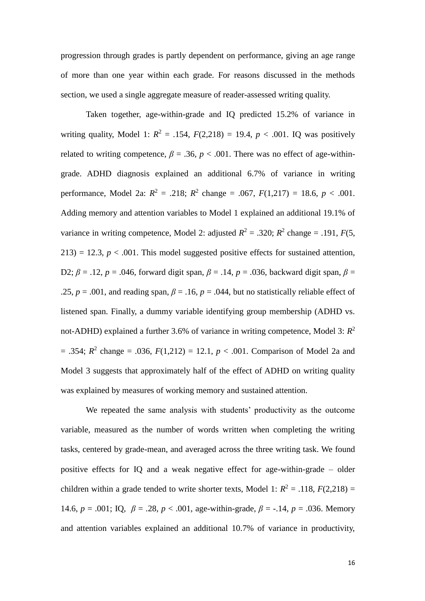progression through grades is partly dependent on performance, giving an age range of more than one year within each grade. For reasons discussed in the methods section, we used a single aggregate measure of reader-assessed writing quality.

Taken together, age-within-grade and IQ predicted 15.2% of variance in writing quality, Model 1:  $R^2 = .154$ ,  $F(2,218) = 19.4$ ,  $p < .001$ . IQ was positively related to writing competence,  $\beta = .36$ ,  $p < .001$ . There was no effect of age-withingrade. ADHD diagnosis explained an additional 6.7% of variance in writing performance, Model 2a:  $R^2 = .218$ ;  $R^2$  change = .067,  $F(1,217) = 18.6$ ,  $p < .001$ . Adding memory and attention variables to Model 1 explained an additional 19.1% of variance in writing competence, Model 2: adjusted  $R^2 = .320$ ;  $R^2$  change = .191,  $F(5, 12)$  $213$ ) = 12.3,  $p < .001$ . This model suggested positive effects for sustained attention, D2; *β* = .12, *p* = .046, forward digit span, *β* = .14, *p* = .036, backward digit span, *β* = .25,  $p = .001$ , and reading span,  $\beta = .16$ ,  $p = .044$ , but no statistically reliable effect of listened span. Finally, a dummy variable identifying group membership (ADHD vs. not-ADHD) explained a further 3.6% of variance in writing competence, Model 3:  $R^2$  $= .354$ ;  $R^2$  change  $= .036$ ,  $F(1,212) = 12.1$ ,  $p < .001$ . Comparison of Model 2a and Model 3 suggests that approximately half of the effect of ADHD on writing quality was explained by measures of working memory and sustained attention.

We repeated the same analysis with students' productivity as the outcome variable, measured as the number of words written when completing the writing tasks, centered by grade-mean, and averaged across the three writing task. We found positive effects for IQ and a weak negative effect for age-within-grade – older children within a grade tended to write shorter texts, Model 1:  $R^2 = .118$ ,  $F(2,218) =$ 14.6,  $p = .001$ ; IQ,  $\beta = .28$ ,  $p < .001$ , age-within-grade,  $\beta = -.14$ ,  $p = .036$ . Memory and attention variables explained an additional 10.7% of variance in productivity,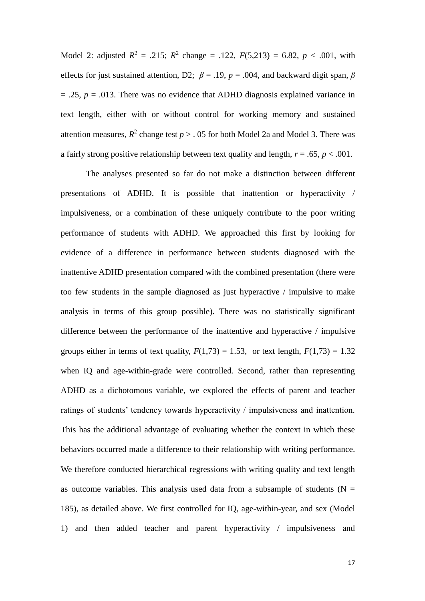Model 2: adjusted  $R^2 = .215$ ;  $R^2$  change = .122,  $F(5,213) = 6.82$ ,  $p < .001$ , with effects for just sustained attention, D2;  $\beta = .19$ ,  $p = .004$ , and backward digit span,  $\beta$  $= .25$ ,  $p = .013$ . There was no evidence that ADHD diagnosis explained variance in text length, either with or without control for working memory and sustained attention measures,  $R^2$  change test  $p > 0.05$  for both Model 2a and Model 3. There was a fairly strong positive relationship between text quality and length,  $r = .65$ ,  $p < .001$ .

The analyses presented so far do not make a distinction between different presentations of ADHD. It is possible that inattention or hyperactivity / impulsiveness, or a combination of these uniquely contribute to the poor writing performance of students with ADHD. We approached this first by looking for evidence of a difference in performance between students diagnosed with the inattentive ADHD presentation compared with the combined presentation (there were too few students in the sample diagnosed as just hyperactive / impulsive to make analysis in terms of this group possible). There was no statistically significant difference between the performance of the inattentive and hyperactive / impulsive groups either in terms of text quality,  $F(1,73) = 1.53$ , or text length,  $F(1,73) = 1.32$ when IQ and age-within-grade were controlled. Second, rather than representing ADHD as a dichotomous variable, we explored the effects of parent and teacher ratings of students' tendency towards hyperactivity / impulsiveness and inattention. This has the additional advantage of evaluating whether the context in which these behaviors occurred made a difference to their relationship with writing performance. We therefore conducted hierarchical regressions with writing quality and text length as outcome variables. This analysis used data from a subsample of students ( $N =$ 185), as detailed above. We first controlled for IQ, age-within-year, and sex (Model 1) and then added teacher and parent hyperactivity / impulsiveness and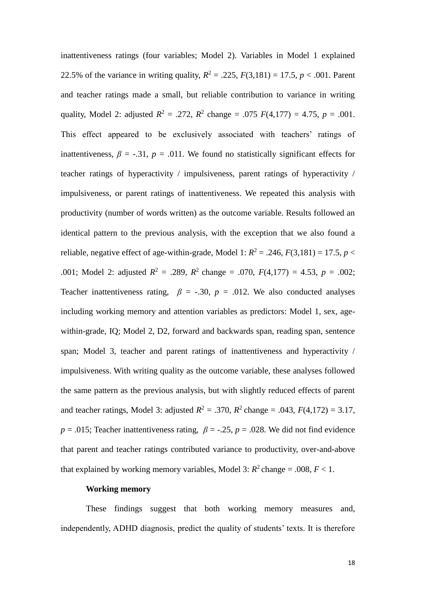inattentiveness ratings (four variables; Model 2). Variables in Model 1 explained 22.5% of the variance in writing quality,  $R^2 = .225$ ,  $F(3,181) = 17.5$ ,  $p < .001$ . Parent and teacher ratings made a small, but reliable contribution to variance in writing quality, Model 2: adjusted  $R^2 = .272$ ,  $R^2$  change = .075  $F(4,177) = 4.75$ ,  $p = .001$ . This effect appeared to be exclusively associated with teachers' ratings of inattentiveness,  $\beta = -.31$ ,  $p = .011$ . We found no statistically significant effects for teacher ratings of hyperactivity / impulsiveness, parent ratings of hyperactivity / impulsiveness, or parent ratings of inattentiveness. We repeated this analysis with productivity (number of words written) as the outcome variable. Results followed an identical pattern to the previous analysis, with the exception that we also found a reliable, negative effect of age-within-grade, Model 1:  $R^2 = .246$ ,  $F(3,181) = 17.5$ ,  $p <$ .001; Model 2: adjusted  $R^2 = .289$ ,  $R^2$  change = .070,  $F(4,177) = 4.53$ ,  $p = .002$ ; Teacher inattentiveness rating,  $\beta$  = -.30,  $p$  = .012. We also conducted analyses including working memory and attention variables as predictors: Model 1, sex, agewithin-grade, IQ; Model 2, D2, forward and backwards span, reading span, sentence span; Model 3, teacher and parent ratings of inattentiveness and hyperactivity / impulsiveness. With writing quality as the outcome variable, these analyses followed the same pattern as the previous analysis, but with slightly reduced effects of parent and teacher ratings, Model 3: adjusted  $R^2 = .370$ ,  $R^2$  change = .043,  $F(4,172) = 3.17$ ,  $p = .015$ ; Teacher inattentiveness rating,  $\beta = -.25$ ,  $p = .028$ . We did not find evidence that parent and teacher ratings contributed variance to productivity, over-and-above that explained by working memory variables, Model 3:  $R^2$  change = .008,  $F < 1$ .

## **Working memory**

These findings suggest that both working memory measures and, independently, ADHD diagnosis, predict the quality of students' texts. It is therefore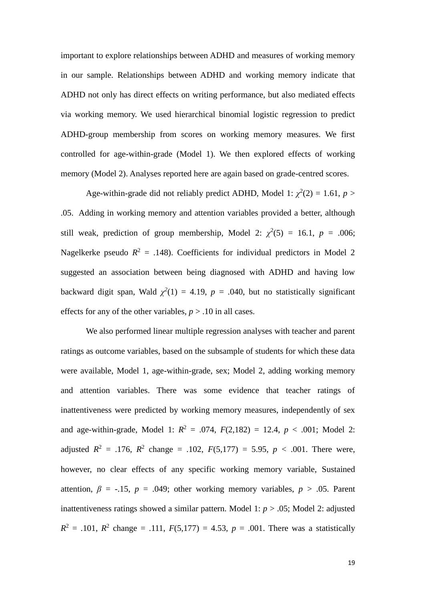important to explore relationships between ADHD and measures of working memory in our sample. Relationships between ADHD and working memory indicate that ADHD not only has direct effects on writing performance, but also mediated effects via working memory. We used hierarchical binomial logistic regression to predict ADHD-group membership from scores on working memory measures. We first controlled for age-within-grade (Model 1). We then explored effects of working memory (Model 2). Analyses reported here are again based on grade-centred scores.

Age-within-grade did not reliably predict ADHD, Model 1:  $\chi^2(2) = 1.61$ ,  $p >$ .05. Adding in working memory and attention variables provided a better, although still weak, prediction of group membership, Model 2:  $\chi^2(5) = 16.1$ ,  $p = .006$ ; Nagelkerke pseudo  $R^2 = .148$ ). Coefficients for individual predictors in Model 2 suggested an association between being diagnosed with ADHD and having low backward digit span, Wald  $\chi^2(1) = 4.19$ ,  $p = .040$ , but no statistically significant effects for any of the other variables,  $p > .10$  in all cases.

We also performed linear multiple regression analyses with teacher and parent ratings as outcome variables, based on the subsample of students for which these data were available, Model 1, age-within-grade, sex; Model 2, adding working memory and attention variables. There was some evidence that teacher ratings of inattentiveness were predicted by working memory measures, independently of sex and age-within-grade, Model 1:  $R^2 = .074$ ,  $F(2,182) = 12.4$ ,  $p < .001$ ; Model 2: adjusted  $R^2 = .176$ ,  $R^2$  change = .102,  $F(5,177) = 5.95$ ,  $p < .001$ . There were, however, no clear effects of any specific working memory variable, Sustained attention,  $\beta$  = -.15,  $p$  = .049; other working memory variables,  $p > .05$ . Parent inattentiveness ratings showed a similar pattern. Model 1: *p* > .05; Model 2: adjusted  $R^2 = .101$ ,  $R^2$  change = .111,  $F(5,177) = 4.53$ ,  $p = .001$ . There was a statistically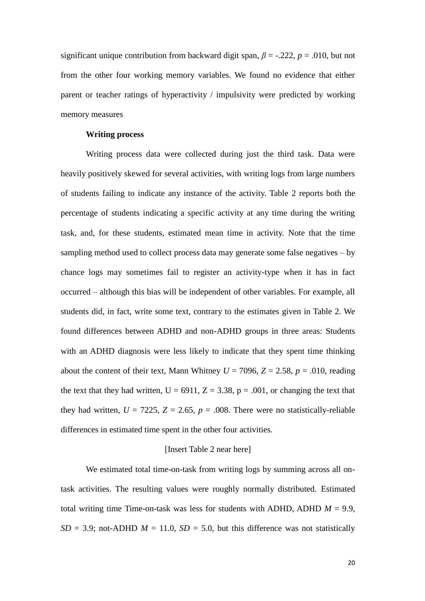significant unique contribution from backward digit span,  $\beta$  = -.222,  $p$  = .010, but not from the other four working memory variables. We found no evidence that either parent or teacher ratings of hyperactivity / impulsivity were predicted by working memory measures

## **Writing process**

Writing process data were collected during just the third task. Data were heavily positively skewed for several activities, with writing logs from large numbers of students failing to indicate any instance of the activity. Table 2 reports both the percentage of students indicating a specific activity at any time during the writing task, and, for these students, estimated mean time in activity. Note that the time sampling method used to collect process data may generate some false negatives – by chance logs may sometimes fail to register an activity-type when it has in fact occurred – although this bias will be independent of other variables. For example, all students did, in fact, write some text, contrary to the estimates given in Table 2. We found differences between ADHD and non-ADHD groups in three areas: Students with an ADHD diagnosis were less likely to indicate that they spent time thinking about the content of their text, Mann Whitney  $U = 7096$ ,  $Z = 2.58$ ,  $p = .010$ , reading the text that they had written,  $U = 6911$ ,  $Z = 3.38$ ,  $p = .001$ , or changing the text that they had written,  $U = 7225$ ,  $Z = 2.65$ ,  $p = .008$ . There were no statistically-reliable differences in estimated time spent in the other four activities.

#### [Insert Table 2 near here]

We estimated total time-on-task from writing logs by summing across all ontask activities. The resulting values were roughly normally distributed. Estimated total writing time Time-on-task was less for students with ADHD, ADHD  $M = 9.9$ ,  $SD = 3.9$ ; not-ADHD  $M = 11.0$ ,  $SD = 5.0$ , but this difference was not statistically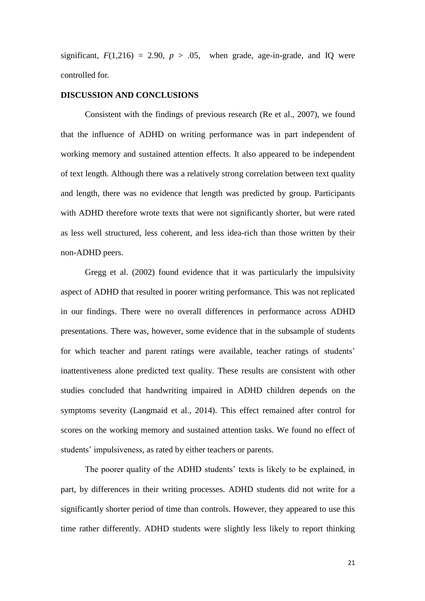significant,  $F(1,216) = 2.90$ ,  $p > .05$ , when grade, age-in-grade, and IQ were controlled for.

#### **DISCUSSION AND CONCLUSIONS**

Consistent with the findings of previous research (Re et al., 2007), we found that the influence of ADHD on writing performance was in part independent of working memory and sustained attention effects. It also appeared to be independent of text length. Although there was a relatively strong correlation between text quality and length, there was no evidence that length was predicted by group. Participants with ADHD therefore wrote texts that were not significantly shorter, but were rated as less well structured, less coherent, and less idea-rich than those written by their non-ADHD peers.

Gregg et al. (2002) found evidence that it was particularly the impulsivity aspect of ADHD that resulted in poorer writing performance. This was not replicated in our findings. There were no overall differences in performance across ADHD presentations. There was, however, some evidence that in the subsample of students for which teacher and parent ratings were available, teacher ratings of students' inattentiveness alone predicted text quality. These results are consistent with other studies concluded that handwriting impaired in ADHD children depends on the symptoms severity (Langmaid et al., 2014). This effect remained after control for scores on the working memory and sustained attention tasks. We found no effect of students' impulsiveness, as rated by either teachers or parents.

The poorer quality of the ADHD students' texts is likely to be explained, in part, by differences in their writing processes. ADHD students did not write for a significantly shorter period of time than controls. However, they appeared to use this time rather differently. ADHD students were slightly less likely to report thinking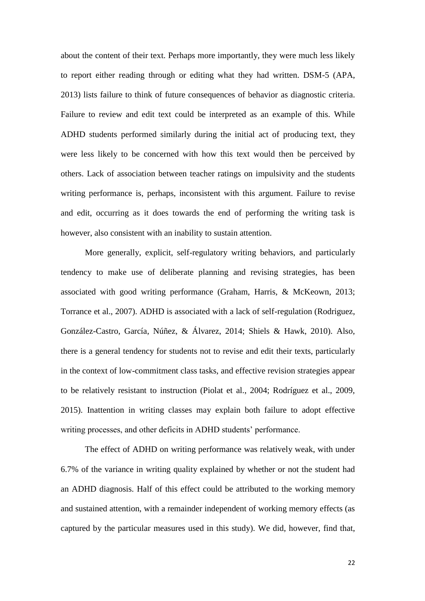about the content of their text. Perhaps more importantly, they were much less likely to report either reading through or editing what they had written. DSM-5 (APA, 2013) lists failure to think of future consequences of behavior as diagnostic criteria. Failure to review and edit text could be interpreted as an example of this. While ADHD students performed similarly during the initial act of producing text, they were less likely to be concerned with how this text would then be perceived by others. Lack of association between teacher ratings on impulsivity and the students writing performance is, perhaps, inconsistent with this argument. Failure to revise and edit, occurring as it does towards the end of performing the writing task is however, also consistent with an inability to sustain attention.

More generally, explicit, self-regulatory writing behaviors, and particularly tendency to make use of deliberate planning and revising strategies, has been associated with good writing performance (Graham, Harris, & McKeown, 2013; Torrance et al., 2007). ADHD is associated with a lack of self-regulation (Rodriguez, González-Castro, García, Núñez, & Álvarez, 2014; Shiels & Hawk, 2010). Also, there is a general tendency for students not to revise and edit their texts, particularly in the context of low-commitment class tasks, and effective revision strategies appear to be relatively resistant to instruction (Piolat et al., 2004; Rodríguez et al., 2009, 2015). Inattention in writing classes may explain both failure to adopt effective writing processes, and other deficits in ADHD students' performance.

The effect of ADHD on writing performance was relatively weak, with under 6.7% of the variance in writing quality explained by whether or not the student had an ADHD diagnosis. Half of this effect could be attributed to the working memory and sustained attention, with a remainder independent of working memory effects (as captured by the particular measures used in this study). We did, however, find that,

22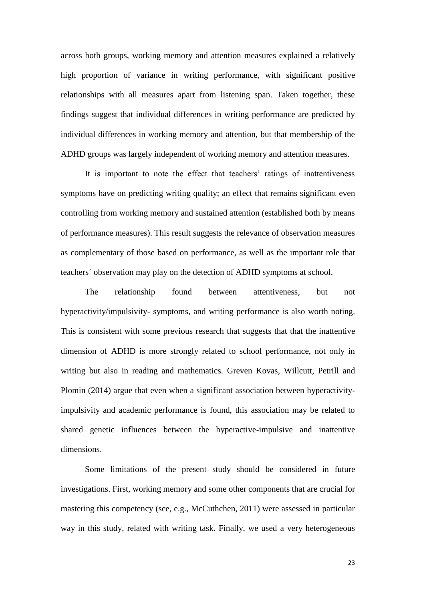across both groups, working memory and attention measures explained a relatively high proportion of variance in writing performance, with significant positive relationships with all measures apart from listening span. Taken together, these findings suggest that individual differences in writing performance are predicted by individual differences in working memory and attention, but that membership of the ADHD groups was largely independent of working memory and attention measures.

It is important to note the effect that teachers' ratings of inattentiveness symptoms have on predicting writing quality; an effect that remains significant even controlling from working memory and sustained attention (established both by means of performance measures). This result suggests the relevance of observation measures as complementary of those based on performance, as well as the important role that teachers´ observation may play on the detection of ADHD symptoms at school.

The relationship found between attentiveness, but not hyperactivity/impulsivity- symptoms, and writing performance is also worth noting. This is consistent with some previous research that suggests that that the inattentive dimension of ADHD is more strongly related to school performance, not only in writing but also in reading and mathematics. Greven Kovas, Willcutt, Petrill and Plomin (2014) argue that even when a significant association between hyperactivityimpulsivity and academic performance is found, this association may be related to shared genetic influences between the hyperactive-impulsive and inattentive dimensions.

Some limitations of the present study should be considered in future investigations. First, working memory and some other components that are crucial for mastering this competency (see, e.g., McCuthchen, 2011) were assessed in particular way in this study, related with writing task. Finally, we used a very heterogeneous

23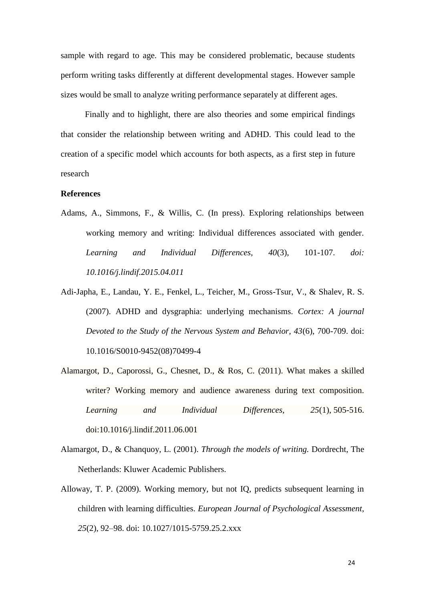sample with regard to age. This may be considered problematic, because students perform writing tasks differently at different developmental stages. However sample sizes would be small to analyze writing performance separately at different ages.

Finally and to highlight, there are also theories and some empirical findings that consider the relationship between writing and ADHD. This could lead to the creation of a specific model which accounts for both aspects, as a first step in future research

## **References**

- Adams, A., Simmons, F., & Willis, C. (In press). Exploring relationships between working memory and writing: Individual differences associated with gender. *Learning and Individual Differences, 40*(3), 101-107. *doi: 10.1016/j.lindif.2015.04.011*
- Adi-Japha, E., Landau, Y. E., Fenkel, L., Teicher, M., Gross-Tsur, V., & Shalev, R. S. (2007). ADHD and dysgraphia: underlying mechanisms. *Cortex: A journal Devoted to the Study of the Nervous System and Behavior, 43*(6), 700-709. doi: 10.1016/S0010-9452(08)70499-4
- Alamargot, D., Caporossi, G., Chesnet, D., & Ros, C. (2011). What makes a skilled writer? Working memory and audience awareness during text composition. *Learning and Individual Differences, 25*(1), 505-516. doi:10.1016/j.lindif.2011.06.001
- Alamargot, D., & Chanquoy, L. (2001). *Through the models of writing.* Dordrecht, The Netherlands: Kluwer Academic Publishers.
- Alloway, T. P. (2009). Working memory, but not IQ, predicts subsequent learning in children with learning difficulties. *European Journal of Psychological Assessment*, *25*(2), 92–98. doi: 10.1027/1015-5759.25.2.xxx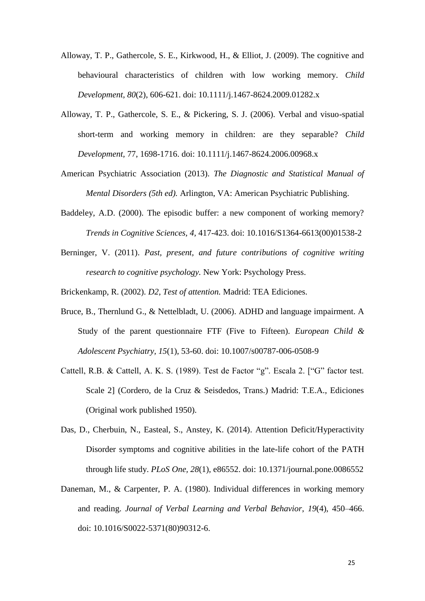- Alloway, T. P., Gathercole, S. E., Kirkwood, H., & Elliot, J. (2009). The cognitive and behavioural characteristics of children with low working memory. *Child Development, 80*(2), 606-621. doi: 10.1111/j.1467-8624.2009.01282.x
- Alloway, T. P., Gathercole, S. E., & Pickering, S. J. (2006). Verbal and visuo-spatial short-term and working memory in children: are they separable? *Child Development,* 77, 1698-1716. doi: 10.1111/j.1467-8624.2006.00968.x
- American Psychiatric Association (2013). *The Diagnostic and Statistical Manual of Mental Disorders (5th ed).* Arlington, VA: American Psychiatric Publishing.
- Baddeley, A.D. (2000). The episodic buffer: a new component of working memory? *Trends in Cognitive Sciences, 4,* 417-423. doi: 10.1016/S1364-6613(00)01538-2
- Berninger, V. (2011). *Past, present, and future contributions of cognitive writing research to cognitive psychology.* New York: Psychology Press.

Brickenkamp, R. (2002). *D2, Test of attention.* Madrid: TEA Ediciones.

- Bruce, B., Thernlund G., & Nettelbladt, U. (2006). ADHD and language impairment. A Study of the parent questionnaire FTF (Five to Fifteen). *European Child & Adolescent Psychiatry, 15*(1), 53-60. doi: 10.1007/s00787-006-0508-9
- Cattell, R.B. & Cattell, A. K. S. (1989). Test de Factor "g". Escala 2. ["G" factor test. Scale 2] (Cordero, de la Cruz & Seisdedos, Trans.) Madrid: T.E.A., Ediciones (Original work published 1950).
- Das, D., Cherbuin, N., Easteal, S., Anstey, K. (2014). Attention Deficit/Hyperactivity Disorder symptoms and cognitive abilities in the late-life cohort of the PATH through life study. *PLoS One, 28*(1), e86552. doi: 10.1371/journal.pone.0086552
- Daneman, M., & Carpenter, P. A. (1980). Individual differences in working memory and reading. *Journal of Verbal Learning and Verbal Behavior*, *19*(4), 450–466. doi: 10.1016/S0022-5371(80)90312-6.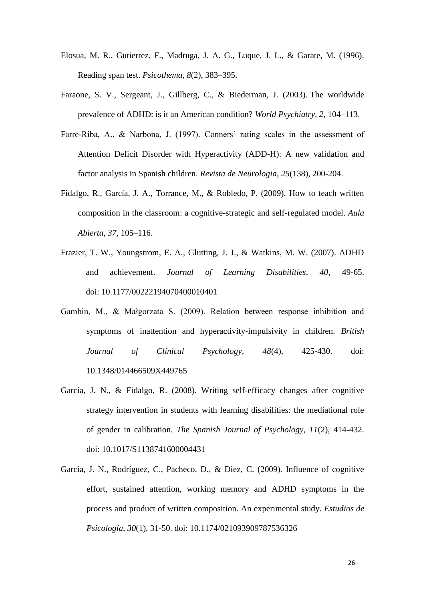- Elosua, M. R., Gutierrez, F., Madruga, J. A. G., Luque, J. L., & Garate, M. (1996). Reading span test. *Psicothema*, *8*(2), 383–395.
- Faraone, S. V., Sergeant, J., Gillberg, C., & Biederman, J. (2003). The worldwide prevalence of ADHD: is it an American condition? *World Psychiatry, 2,* 104–113.
- Farre-Riba, A., & Narbona, J. (1997). Conners' rating scales in the assessment of Attention Deficit Disorder with Hyperactivity (ADD-H): A new validation and factor analysis in Spanish children. *Revista de Neurologia*, *25*(138), 200-204.
- Fidalgo, R., García, J. A., Torrance, M., & Robledo, P. (2009). How to teach written composition in the classroom: a cognitive-strategic and self-regulated model. *Aula Abierta, 37,* 105–116.
- Frazier, T. W., Youngstrom, E. A., Glutting, J. J., & Watkins, M. W. (2007). ADHD and achievement. *Journal of Learning Disabilities, 40*, 49-65. doi: 10.1177/00222194070400010401
- Gambin, M., & Małgorzata S. (2009). Relation between response inhibition and symptoms of inattention and hyperactivity-impulsivity in children. *British Journal of Clinical Psychology, 48*(4), 425-430. doi: 10.1348/014466509X449765
- García, J. N., & Fidalgo, R. (2008). Writing self-efficacy changes after cognitive strategy intervention in students with learning disabilities: the mediational role of gender in calibration. *The Spanish Journal of Psychology, 11*(2), 414-432. doi: 10.1017/S1138741600004431
- García, J. N., Rodríguez, C., Pacheco, D., & Diez, C. (2009). Influence of cognitive effort, sustained attention, working memory and ADHD symptoms in the process and product of written composition. An experimental study. *Estudios de Psicología, 30*(1), 31-50. doi: 10.1174/021093909787536326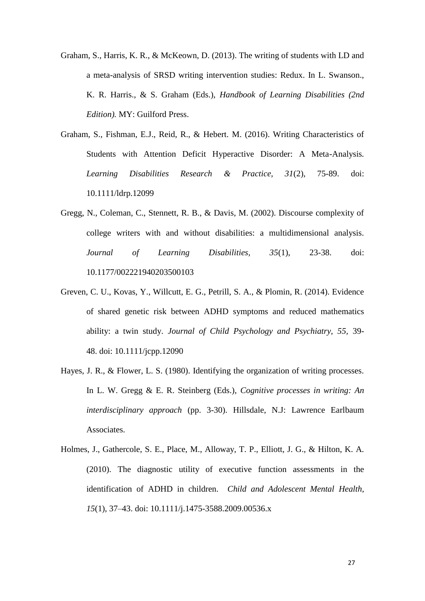- Graham, S., Harris, K. R., & McKeown, D. (2013). The writing of students with LD and a meta-analysis of SRSD writing intervention studies: Redux. In L. Swanson., K. R. Harris., & S. Graham (Eds.), *Handbook of Learning Disabilities (2nd Edition).* MY: Guilford Press.
- Graham, S., Fishman, E.J., Reid, R., & Hebert. M. (2016). Writing Characteristics of Students with Attention Deficit Hyperactive Disorder: A Meta-Analysis*. Learning Disabilities Research & Practice, 31*(2), 75-89. doi: 10.1111/ldrp.12099
- Gregg, N., Coleman, C., Stennett, R. B., & Davis, M. (2002). Discourse complexity of college writers with and without disabilities: a multidimensional analysis. *Journal of Learning Disabilities, 35*(1), 23-38. doi: 10.1177/002221940203500103
- Greven, C. U., Kovas, Y., Willcutt, E. G., Petrill, S. A., & Plomin, R. (2014). Evidence of shared genetic risk between ADHD symptoms and reduced mathematics ability: a twin study. *Journal of Child Psychology and Psychiatry, 55,* 39- 48. doi: 10.1111/jcpp.12090
- Hayes, J. R., & Flower, L. S. (1980). Identifying the organization of writing processes. In L. W. Gregg & E. R. Steinberg (Eds.), *Cognitive processes in writing: An interdisciplinary approach* (pp. 3-30). Hillsdale, N.J: Lawrence Earlbaum Associates.
- Holmes, J., Gathercole, S. E., Place, M., Alloway, T. P., Elliott, J. G., & Hilton, K. A. (2010). The diagnostic utility of executive function assessments in the identification of ADHD in children. *Child and Adolescent Mental Health, 15*(1), 37–43. doi: 10.1111/j.1475-3588.2009.00536.x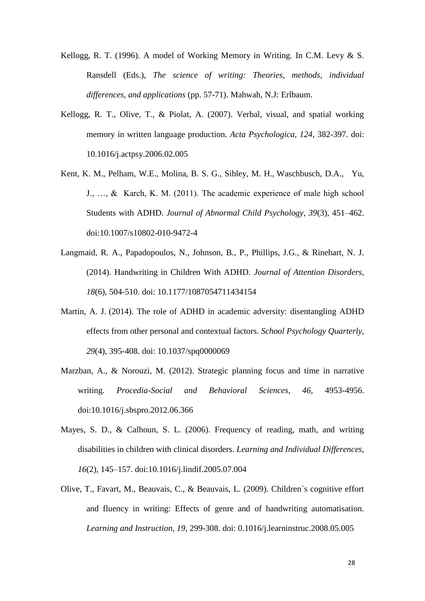- Kellogg, R. T. (1996). A model of Working Memory in Writing. In C.M. Levy & S. Ransdell (Eds.), *The science of writing: Theories, methods, individual differences, and applications* (pp. 57-71). Mahwah, N.J: Erlbaum.
- Kellogg, R. T., Olive, T., & Piolat, A. (2007). Verbal, visual, and spatial working memory in written language production. *Acta Psychologica, 124*, 382-397. doi: 10.1016/j.actpsy.2006.02.005
- Kent, K. M., Pelham, W.E., Molina, B. S. G., Sibley, M. H., Waschbusch, D.A., Yu, J., …, & Karch, K. M. (2011). The academic experience of male high school Students with ADHD. *Journal of Abnormal Child Psychology, 39*(3), 451–462. doi[:10.1007/s10802-010-9472-4](http://dx.doi.org/10.1007%2Fs10802-010-9472-4)
- Langmaid, R. A., Papadopoulos, N., Johnson, B., P., Phillips, J.G., & Rinehart, N. J. (2014). Handwriting in Children With ADHD. *Journal of Attention Disorders, 18*(6), 504-510. doi: 10.1177/1087054711434154
- Martin, A. J. (2014). The role of ADHD in academic adversity: disentangling ADHD effects from other personal and contextual factors. *School Psychology Quarterly, 29*(4), 395-408. doi: 10.1037/spq0000069
- Marzban, A., & Norouzi, M. (2012). Strategic planning focus and time in narrative writing. *Procedia-Social and Behavioral Sciences, 46,* 4953-4956. doi:10.1016/j.sbspro.2012.06.366
- Mayes, S. D., & Calhoun, S. L. (2006). Frequency of reading, math, and writing disabilities in children with clinical disorders. *Learning and Individual Differences*, *16*(2), 145–157. doi:10.1016/j.lindif.2005.07.004
- Olive, T., Favart, M., Beauvais, C., & Beauvais, L. (2009). Children`s cognitive effort and fluency in writing: Effects of genre and of handwriting automatisation. *Learning and Instruction, 19*, 299-308. doi: 0.1016/j.learninstruc.2008.05.005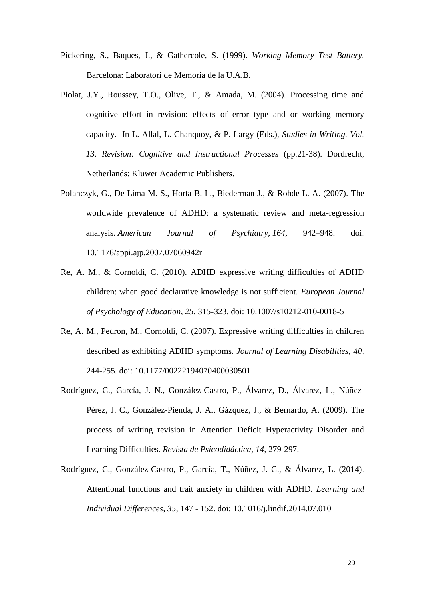- Pickering, S., Baques, J., & Gathercole, S. (1999). *Working Memory Test Battery.* Barcelona: Laboratori de Memoria de la U.A.B.
- Piolat, J.Y., Roussey, T.O., Olive, T., & Amada, M. (2004). Processing time and cognitive effort in revision: effects of error type and or working memory capacity. In L. Allal, L. Chanquoy, & P. Largy (Eds.), *Studies in Writing. Vol. 13. Revision: Cognitive and Instructional Processes* (pp.21-38). Dordrecht, Netherlands: Kluwer Academic Publishers.
- Polanczyk, G., De Lima M. S., Horta B. L., Biederman J., & Rohde L. A. (2007). The worldwide prevalence of ADHD: a systematic review and meta-regression analysis. *American Journal of Psychiatry, 164,* 942–948. doi: 10.1176/appi.ajp.2007.07060942r
- Re, A. M., & Cornoldi, C. (2010). ADHD expressive writing difficulties of ADHD children: when good declarative knowledge is not sufficient. *European Journal of Psychology of Education, 25*, 315-323. doi: 10.1007/s10212-010-0018-5
- Re, A. M., Pedron, M., Cornoldi, C. (2007). Expressive writing difficulties in children described as exhibiting ADHD symptoms. *Journal of Learning Disabilities, 40,* 244-255. doi: 10.1177/00222194070400030501
- Rodríguez, C., García, J. N., González-Castro, P., Álvarez, D., Álvarez, L., Núñez-Pérez, J. C., González-Pienda, J. A., Gázquez, J., & Bernardo, A. (2009). The process of writing revision in Attention Deficit Hyperactivity Disorder and Learning Difficulties. *Revista de Psicodidáctica, 14,* 279-297.
- Rodríguez, C., González-Castro, P., García, T., Núñez, J. C., & Álvarez, L. (2014). Attentional functions and trait anxiety in children with ADHD. *Learning and Individual Differences, 35,* 147 - 152. doi: 10.1016/j.lindif.2014.07.010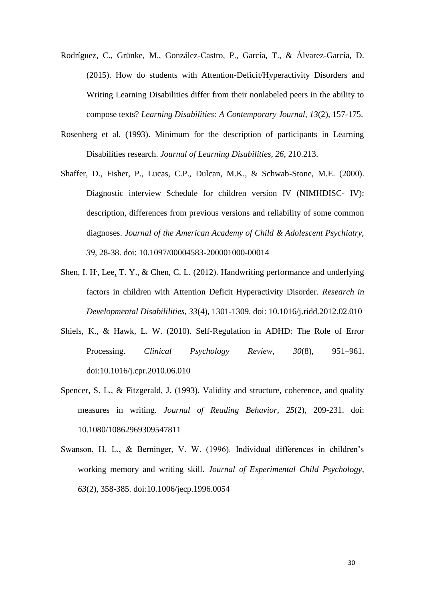- Rodríguez, C., Grünke, M., González-Castro, P., García, T., & Álvarez-García, D. (2015). How do students with Attention-Deficit/Hyperactivity Disorders and Writing Learning Disabilities differ from their nonlabeled peers in the ability to compose texts? *Learning Disabilities: A Contemporary Journal, 13*(2), 157-175.
- Rosenberg et al. (1993). Minimum for the description of participants in Learning Disabilities research. *Journal of Learning Disabilities, 26,* 210.213.
- Shaffer, D., Fisher, P., Lucas, C.P., Dulcan, M.K., & Schwab-Stone, M.E. (2000). Diagnostic interview Schedule for children version IV (NIMHDISC- IV): description, differences from previous versions and reliability of some common diagnoses. *Journal of the American Academy of Child & Adolescent Psychiatry, 39*, 28-38. doi: 10.1097/00004583-200001000-00014
- Shen, I. H, Lee, T. Y., & Chen, C. L. (2012). Handwriting performance and underlying factors in children with Attention Deficit Hyperactivity Disorder. *Research in Developmental Disabililities, 33*(4), 1301-1309. doi: 10.1016/j.ridd.2012.02.010
- Shiels, K., & Hawk, L. W. (2010). Self-Regulation in ADHD: The Role of Error Processing. *Clinical Psychology Review, 30*(8), 951–961. doi:10.1016/j.cpr.2010.06.010
- Spencer, S. L., & Fitzgerald, J. (1993). Validity and structure, coherence, and quality measures in writing. *Journal of Reading Behavior*, *25*(2), 209-231. doi: 10.1080/10862969309547811
- Swanson, H. L., & Berninger, V. W. (1996). Individual differences in children's working memory and writing skill. *Journal of Experimental Child Psychology*, *63*(2), 358-385. doi:10.1006/jecp.1996.0054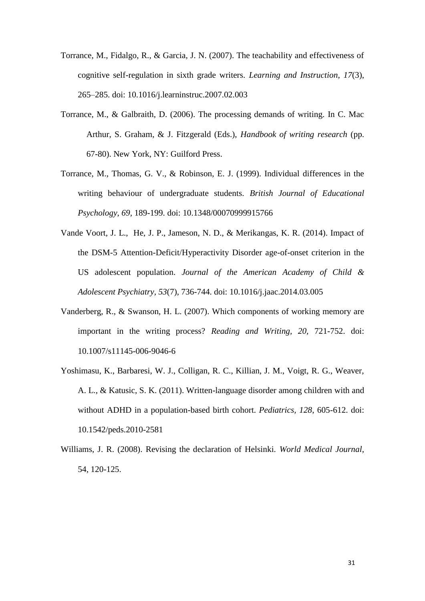- Torrance, M., Fidalgo, R., & Garcia, J. N. (2007). The teachability and effectiveness of cognitive self-regulation in sixth grade writers. *Learning and Instruction*, *17*(3), 265–285. doi: 10.1016/j.learninstruc.2007.02.003
- Torrance, M., & Galbraith, D. (2006). The processing demands of writing. In C. Mac Arthur, S. Graham, & J. Fitzgerald (Eds.), *Handbook of writing research* (pp. 67-80). New York, NY: Guilford Press.
- Torrance, M., Thomas, G. V., & Robinson, E. J. (1999). Individual differences in the writing behaviour of undergraduate students. *British Journal of Educational Psychology*, *69,* 189-199. doi: 10.1348/00070999915766
- Vande Voort, J. L., He, J. P., Jameson, N. D., & Merikangas, K. R. (2014). Impact of the DSM-5 Attention-Deficit/Hyperactivity Disorder age-of-onset criterion in the US adolescent population. *Journal of the American Academy of Child & Adolescent Psychiatry, 53*(7), 736-744. doi: 10.1016/j.jaac.2014.03.005
- Vanderberg, R., & Swanson, H. L. (2007). Which components of working memory are important in the writing process? *Reading and Writing, 20,* 721-752. doi: 10.1007/s11145-006-9046-6
- Yoshimasu, K., Barbaresi, W. J., Colligan, R. C., Killian, J. M., Voigt, R. G., Weaver, A. L., & Katusic, S. K. (2011). Written-language disorder among children with and without ADHD in a population-based birth cohort. *Pediatrics, 128*, 605-612. doi: 10.1542/peds.2010-2581
- Williams, J. R. (2008). Revising the declaration of Helsinki. *World Medical Journal,*  54, 120-125.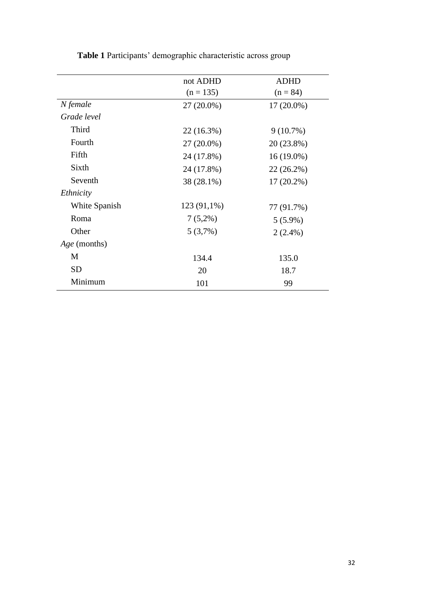|                     | not ADHD<br>$(n = 135)$ | <b>ADHD</b><br>$(n = 84)$ |
|---------------------|-------------------------|---------------------------|
|                     |                         |                           |
| N female            | $27(20.0\%)$            | $17(20.0\%)$              |
| Grade level         |                         |                           |
| Third               | 22 (16.3%)              | $9(10.7\%)$               |
| Fourth              | 27 (20.0%)              | 20 (23.8%)                |
| Fifth               | 24 (17.8%)              | $16(19.0\%)$              |
| Sixth               | 24 (17.8%)              | 22 (26.2%)                |
| Seventh             | 38 (28.1%)              | $17(20.2\%)$              |
| Ethnicity           |                         |                           |
| White Spanish       | 123 (91,1%)             | 77 (91.7%)                |
| Roma                | $7(5,2\%)$              | $5(5.9\%)$                |
| Other               | $5(3,7\%)$              | $2(2.4\%)$                |
| <i>Age</i> (months) |                         |                           |
| M                   | 134.4                   | 135.0                     |
| <b>SD</b>           | 20                      | 18.7                      |
| Minimum             | 101                     | 99                        |

**Table 1** Participants' demographic characteristic across group